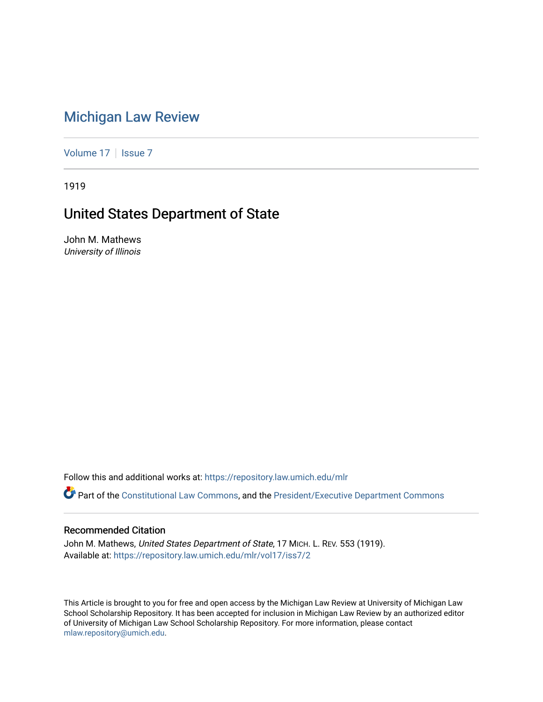## [Michigan Law Review](https://repository.law.umich.edu/mlr)

[Volume 17](https://repository.law.umich.edu/mlr/vol17) | [Issue 7](https://repository.law.umich.edu/mlr/vol17/iss7)

1919

## United States Department of State

John M. Mathews University of Illinois

Follow this and additional works at: [https://repository.law.umich.edu/mlr](https://repository.law.umich.edu/mlr?utm_source=repository.law.umich.edu%2Fmlr%2Fvol17%2Fiss7%2F2&utm_medium=PDF&utm_campaign=PDFCoverPages) 

Part of the [Constitutional Law Commons,](http://network.bepress.com/hgg/discipline/589?utm_source=repository.law.umich.edu%2Fmlr%2Fvol17%2Fiss7%2F2&utm_medium=PDF&utm_campaign=PDFCoverPages) and the [President/Executive Department Commons](http://network.bepress.com/hgg/discipline/1118?utm_source=repository.law.umich.edu%2Fmlr%2Fvol17%2Fiss7%2F2&utm_medium=PDF&utm_campaign=PDFCoverPages)

## Recommended Citation

John M. Mathews, United States Department of State, 17 MICH. L. REV. 553 (1919). Available at: [https://repository.law.umich.edu/mlr/vol17/iss7/2](https://repository.law.umich.edu/mlr/vol17/iss7/2?utm_source=repository.law.umich.edu%2Fmlr%2Fvol17%2Fiss7%2F2&utm_medium=PDF&utm_campaign=PDFCoverPages)

This Article is brought to you for free and open access by the Michigan Law Review at University of Michigan Law School Scholarship Repository. It has been accepted for inclusion in Michigan Law Review by an authorized editor of University of Michigan Law School Scholarship Repository. For more information, please contact [mlaw.repository@umich.edu.](mailto:mlaw.repository@umich.edu)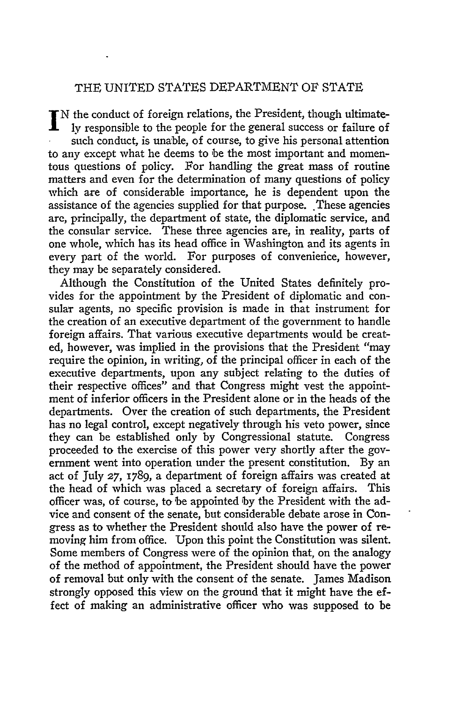## THE UNITED STATES DEPARTMENT OF STATE

IN the conduct of foreign relations, the President, though ultimate-<br>I ly responsible to the people for the general success or failure of ly responsible to the people for the general success or failure of such conduct, is unable, of course, to give his personal attention to any except what he deems to be the most important and momentous questions of policy. For handling the great mass of routine matters and even for the determination of many questions of policy which axe of considerable importance, he is dependent upon the assistance of the agencies supplied for that purpose. These agencies arc, principally, the department of state, the diplomatic service, and the consular service. These three agencies are, in reality, parts of one whole, which has its head office in Washington and its agents in every part of the world. For purposes of convenience, however, they may be separately considered.

Although the Constitution of the United States definitely provides for the appointment by the President of diplomatic and consular agents, no specific provision is made in that instrument for the creation of an executive department of the government to handle foreign affairs. That various executive departments would be created, however, was implied in the provisions that the President "may require the opinion, in writing, of the principal officer in each of the executive departments, upon any subject relating to the duties of their respective offices" and that Congress might vest the appointment of inferior officers in the President alone or in the heads of the departments. Over the creation of such departments, the President has no legal control, except negatively through his veto power, since they can be established only by Congressional statute. Congress proceeded to the exercise of this power very shortly after the government went into operation under the present constitution. By an act of July *27,* 1789, a department of foreign affairs was created at the head of which was placed a secretary of foreign affairs. This officer was, of course, to be appointed 1by the President with the advice and consent of the senate, but considerable debate arose in Congress as to whether the President should also have the power of removing him from office. Upon this point the Constitution was silent. Some members of Congress were of the opinion that, on the analogy of the method of appointment, the President should have the power of removal but only with the consent of the senate. James Madison strongly opposed this view on the ground that it might have the effect of making an administrative officer who was supposed to be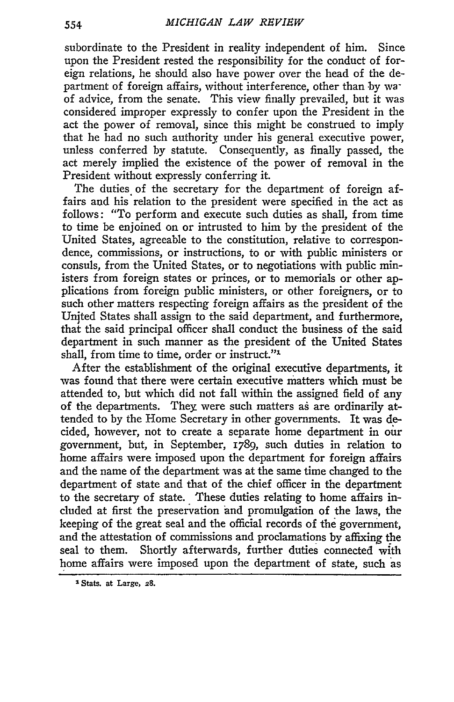subordinate to the President in reality independent of him. Since upon the President rested the responsibility for the conduct of foreign relations, he should also have power over the head of the department of foreign affairs, without interference, other than by wa· of advice, from the senate. This view finally prevailed, but it was considered improper expressly to confer upon the President in the act the power of removal, since this might be construed to imply that he had no such authority under his general executive power, unless conferred by statute. Consequently, as finally passed, the act merely implied the existence of the power of removal in the President without expressly conferring it.

The duties of the secretary for the department of foreign affairs and his relation to the president were specified in the act as follows : "To perform and execute such duties as shall, from time to time be enjoined on or intrusted to him by the president of the United States, agreeable to the constitution, relative to correspondence, commissions, or instructions, to or with public ministers or consuls, from the United States, or to negotiations with public ministers from foreign states or princes, or to memorials or other applications from foreign public ministers, or other foreigners, or to such other matters respecting foreign affairs as the president of the Unjted States shall assign to the said department, and furthermore, that the said principal officer shall conduct the business of the said department in such manner as the president of the United States shall, from time to time, order or instruct."<sup>1</sup>

After the establishment of the original executive departments, it was found that there were certain executive matters which must be attended to, but which did not fall within the assigned field of any of the departments. They. were such matters as are ordinarily attended to by the Home Secretary in other governments. It was decided, however, not to create a separate home department in our government, but, in September, 1789, such duties in relation to home affairs were imposed upon the department for foreign affairs and the name of the department was at the same time changed to the department of state and that of the chief officer in the department to the secretary of state. These duties relating to home affairs included at first the preservation and promulgation of the laws, the keeping of the great seal and the official records of the government, and the attestation of commissions and proclamations by affixing the seal to them. Shortly afterwards, further duties connected with home affairs were imposed upon the department of state, such as

<sup>1</sup> Stats. at Large, 28.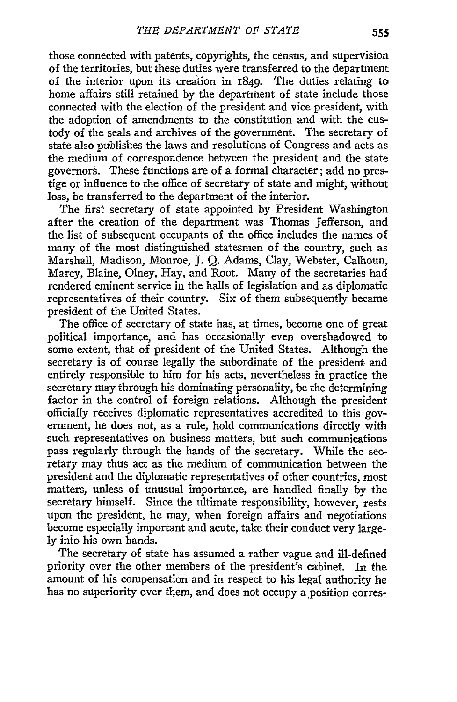those connected with patents, copyrights, the census, and supervision of the territories, but these duties were transferred to the department of the interior upon its creation in 1849. The duties relating to home affairs still retained by the department of state include those connected with the election of the president and vice president, with the adoption of amendments to the constitution and with the custody of the seals and archives of the government. The secretary of state also publishes the laws and resolutions of Congress and acts as the medium of correspondence between the president and the state governors. These functions are of a formal character; add no prestige or influence to the office of secretary of state and might, without loss, be transferred to the department of the interior.

The first secretary of state appointed by President Washington after the creation of the department was Thomas Jefferson, and the list of subsequent occupants of the office includes the names of many of the most distinguished statesmen of the country, such as Marshall, Madison, Monroe, J. Q. Adams, Clay, Webster, Calhoun, Marcy, Blaine, Olney, Hay, and Root. Many of the secretaries had rendered eminent service in the halls of legislation and as diplomatic representatives of their country. Six of them subsequently became president of the United States.

The office of secretary of state has, at times, become one of great political importance, and has occasionally even overshadowed to some extent, that of president of the United States. Although the secretary is of course legally the subordinate of the president and entirely responsible to him for his acts, nevertheless in practice the secretary may through his dominating personality, be the determining factor in the control of foreign relations. Although the president officially receives diplomatic representatives accredited to this government, he does not, as a rule, hold communications directly with such representatives on business matters, but such communications pass regularly through the hands of the secretary. While the secretary may thus act as the medium of communication between the president and the diplomatic representatives of other countries, most matters, unless of unusual importance, are handled finally by the secretary himself. Since the ultimate responsibility, however, rests upon the president, he may, when foreign affairs and negotiations -become especially important and acute, take their conduct very largely into his own hands.

The secretary of state has assumed a rather vague and ill-defined priority over the other members of the president's cabinet. In the amount of his compensation and in respect to his legal authority he has no superiority over them, and does not occupy a position corres-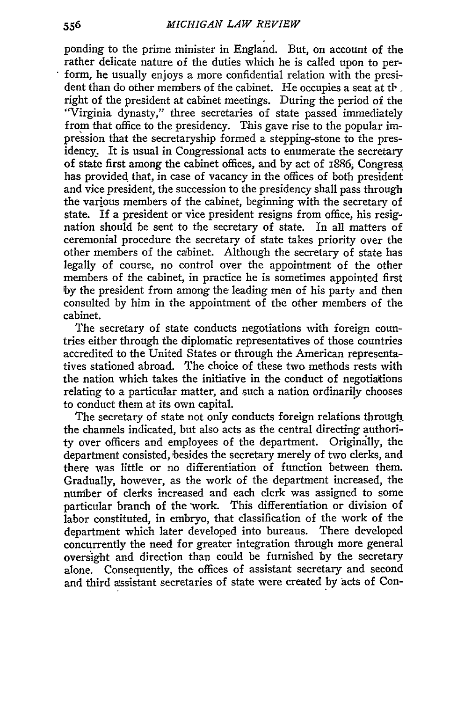ponding to the prime minister in England. But, on account of the rather delicate nature of the duties which he is called upon to perform, he usually enjoys a more confidential relation with the president than do other members of the cabinet. He occupies a seat at the right of the president at cabinet meetings. During the period of the "Virginia dynasty," three secretaries of state passed immediately from that office to the presidency. This gave rise to the popular impression that the secretaryship formed a stepping-stone to the presidency. It is usual in Congressional acts to enumerate the secretary of state first among the cabinet offices, and by act of 1886; Congress. has provided that, in case of vacancy in the offices of both president and vice president, the succession to the presidency shall pass through the various members of the cabinet, beginning with the secretary of state. If a president or vice president resigns from office, his resignation should be sent to the secretary of state. In all matters of ceremonial procedure the secretary of state takes priority over the other members of the rabinet. Although the secretary of state has legally of course, no control over the appointment of the other members of the cabinet, in practice he is sometimes appointed first lby the president from among the leading men of his party and then consulted by him in the appointment of the other members of the cabinet.

The secretary of state conducts negotiations with foreign countries either through the diplomatic representatives of those countries accredited to the United States or through the American representatives stationed abroad. The choice of these two methods rests with the nation which takes the initiative in the conduct of negotiations relating to a particular matter, and such a nation ordinarily chooses to conduct them at its own capital.

The secretary of state not only conducts foreign relations through the channels indicated, but also acts as the central directing authority over officers and employees of the department. Originally, the department consisted, •besides the secretary merely of two clerks, and there was little or no differentiation of function between them. Gradually, however, as the work of the department increased, the number of clerks increased and each clerk was assigned to some particular branch of the work. This differentiation or division of labor constituted, in embryo, that classification of the work of the department which later developed into bureaus. There developed concurrently the need for greater integration through more general oversight and direction than could be furnished by the secretary alone. Consequently, the offices of assistant secretary and second and third assistant secretaries of state were created by acts of Con-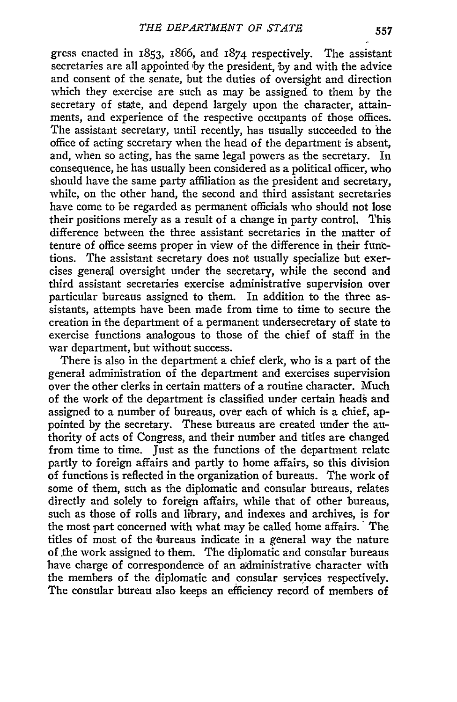grcss enacted in 1853, 1866, and 1874 respectively. The assistant secretaries are all appointed by the president, by and with the advice and consent of the senate, but the duties of oversight and direction which they exercise are such as may be assigned to them by the secretary of state, and depend largely upon the character, attainments, and experience of the respective occupants of those offices. The assistant secretary, until recently, has usually succeeded to the office of acting secretary when the head of the department is absent, and, when so acting, has the same legal powers as the secretary. In consequence, he has usually been considered as a political officer, who should have the same party affiliation as the president and secretary, while, on the other hand, the second and third assistant secretaries have come to be regarded as permanent officials who should not lose their positions merely as a result of a change in party control. 'l'his difference between the three assistant secretaries in the matter of tenure of office seems proper in view of the difference in their functions. The assistant secretary does not usually specialize but exercises generajl oversight under the secretary, while the second and third assistant secretaries exercise administrative supervision over particular bureaus assigned to them. In addition to the three assistants, attempts have been made from time to time to secure the creation in the department of a permanent undersecretary of state to exercise functions analogous to those of the chief of staff in the war department, but without success.

There is also in the department a chief clerk, who is a part of the general administration of the department and exercises supervision over the other clerks in certain matters of a routine character. Much of the work of the department is classified under certain heads and assigned to a number of bureaus, over each of which is a chief, appointed by the secretary. These bureaus are created under the authority of acts of Congress, and their number and titles are changed from time to time. Just as the functions of the department relate partly to foreign affairs and partly to home affairs, so this division of functions is reflected in the organization of bureaus. The work of some of them, such as the diplomatic and consular bureaus, relates directly and solely to foreign affairs, while that of other bureaus, such as those of rolls and library, and indexes and archives, is for the most part concerned with what may be called home affairs. The titles of most of the bureaus indicate in a general way the nature of .the work assigned to them. The diplomatic and consular bureaus have charge of correspondence of an administrative character with the members of the diplomatic and consular services respectively. The consular bureau also keeps an efficiency record of members of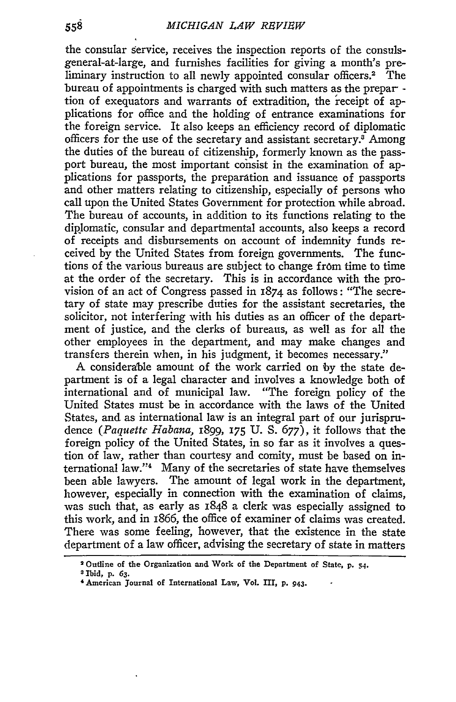the consular service, receives the inspection reports of the consulsgeneral-at-large, and furnishes facilities for giving a month's preliminary instruction to all newly appointed consular officers.<sup>2</sup> The bureau of appointments is charged with such matters as the prepar tion of exequators and warrants of extradition, the receipt of applications for office and the holding of entrance examinations for the foreign service. It also keeps an efficiency record of diplomatic officers for the use of the secretary and assistant secretary.3 Among the duties of the bureau of citizenship, formerly known as the passport bureau, the most important consist in the examination of applications for passports, the preparation and issuance of passports and other matters relating to citizenship, especially of persons who call upon the United States Government for protection while abroad. The bureau of accounts, in addition to its functions relating to the diplomatic, consular and departmental accounts, also keeps a record of receipts and disbursements on account of indemnity funds received by the United States from foreign governments. The functions of the various bureaus are subject to change from time to time at the order of the secretary. This is in accordance with the provision of an act of Congress passed in I874 as follows: "The secretary of state may prescribe duties for the assistant secretaries, the solicitor, not interfering with his duties as an officer of the department of justice, and the clerks of bureaus, as well as for all the other employees in the department, and may make changes and transfers therein when, in his judgment, it becomes necessary."

A considera'ble amount of the work carried on by the state department is of a legal character and involves a knowledge both of international and of municipal law. "The foreign policy of the United States must be in accordance with the laws of the United States, and as international law is an integral part of our jurisprudence *(Paquette Habana,* I899, I75 U. S. *677),* it follows that the foreign policy of the United States, in so far as it involves a question of law, rather than courtesy and comity, must be based on international law."4 Many of the secretaries of state have themselves been able lawyers. The amount of legal work in the department, however, especially in connection with the examination of claims, was such that, as early as 1848 a clerk was especially assigned to this work, and in I866, the office of examiner of claims was created. There was some feeling, however, that the existence in the state department of a law officer, advising the secretary of state in matters

<sup>&</sup>lt;sup>2</sup> Outline of the Organization and Work of the Department of State, p. 54.<br><sup>3</sup> Ibid, p. 63.

<sup>•</sup>American Journal of International Law, Vol. III, p. 943.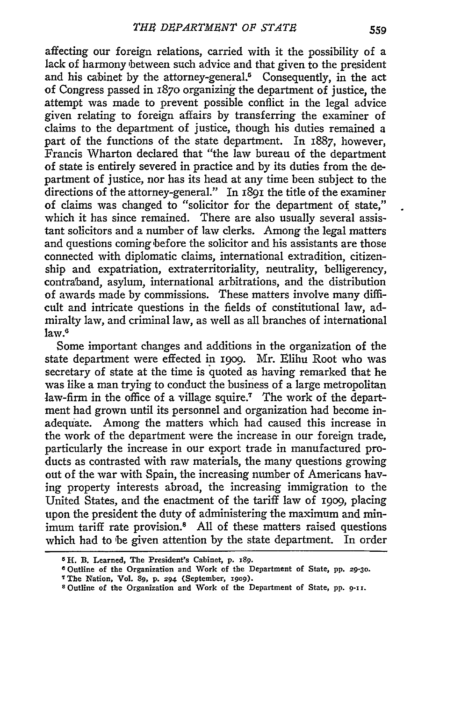affecting our foreign relations, carried with it the possibility of a lack of harmony between such advice and that given to the president and his cabinet by the attorney-general.<sup>5</sup> Consequently, in the act of Congress passed in 1870 organizing the department of justice, the attempt was made to prevent possible conflict in the legal advice given relating to foreign affairs by transferring the examiner of claims to the department of justice, though his duties remained a part of the functions of the state department. In 1887, however, Francis Wharton declared that "the law bureau of the department of state is entirely severed in practice and by its duties from the department of justice, nor has its head at any time been subject to the directions of the attorney-general." In 1891 the title of the examiner of claims was changed to "solicitor for the department of state," which it has since remained. There are also usually several assistant solicitors and a number of law clerks. Among the legal matters and questions coming •before the solicitor and his assistants are those connected with diplomatic claims, international extradition, citizenship and expatriation, extraterritoriality, neutrality, belligerency, contra'band, asylum, international arbitrations, and the distribution of awards made by commissions. These matters involve many difficult and intricate questions in the fields of constitutional law, admiralty law, and criminal law, as well as all branches of international law.<sup>6</sup>

Some important changes and additions in the organization of the state department were effected in 1909. Mr. Elihu Root who was secretary of state at the time is quoted as having remarked that he was like a man trying to conduct the business of a large metropolitan law-firm in the office of a village squire.7 The work of the department had grown until its personnel and organization had become inadequate. Among the matters which had caused this increase in the work of the department were the increase in our foreign trade, particularly the increase in our export trade in manufactured products as contrasted with raw materials, the many questions growing out of the war with Spain, the increasing number of Americans having property interests abroad, the increasing immigration to the United States, and the enactment of the tariff law of 1909, placing upon the president the duty of administering the maximum and minimum tariff rate provision.8 All of these matters raised questions which had to be given attention by the state department. In order

<sup>•</sup> H. B. Learned, The President's Cabinet, p. 189.

<sup>•</sup> Outline of the Organization and Work of the Department of State, pp. 29-30.

<sup>1</sup>The Nation, Vol. 89, p. 294 (September, 1909).

s Outline of the Organization and Work of the Department of State, pp. 9·II.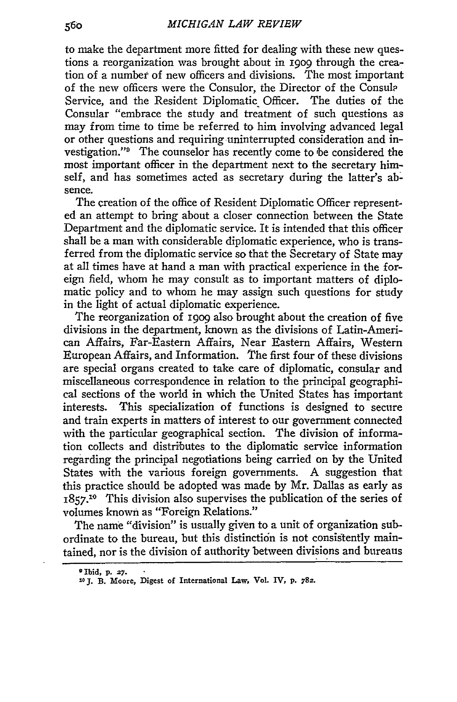to make the department more fitted for dealing with these new questions a reorganization was brought about in 1909 through the creation of a numbet of new officers and divisions. The most important of the new officers were the Consulor, the Director of the Consul? Service, and the Resident Diplomatic Officer. The duties of the Consular "embrace the study and treatment of such questions as may from time to time be referred to him involving advanced legal or other questions and requiring uninterrupted consideration and investigation."9 The counselor has recently come to 1be considered the most important officer in the department next to the secretary himself, and has sometimes acted as secretary during the latter's absence.

The creation of the office of Resident Diplomatic Officer represented an attempt to bring about a closer connection between the State Department and the diplomatic service. It is intended that this officer shall be a man with considerable diplomatic experience, who is transferred from the diplomatic service so that the Secretary of State may at all times have at hand a man with practical experience in the foreign field, whom he may consult as to important matters of diplomatic policy and to whom he may assign such questions for study in the light of actual diplomatic experience.

The reorganization of 1909 also brought about the creation of five divisions in the department, known as the divisions of Latin-American Affairs, Far-Eastern Affairs, Near Eastern Affairs, Western European Affairs, and Information. The first four of these divisions are special organs created to take care of diplomatic, consular and miscellaneous correspondence in relation to the principal geographical sections of the world in which the United States has important interests. This specialization of functions is designed to secure and train experts in matters of interest to our government connected with the particular geographical section. The division of information collects and distriibutes to the diplomatic service information regarding the principal negotiations being carried on by the United States with the various foreign governments. A suggestion that this practice should be adopted was made by Mr. Dallas as early as 1857.10 This division also supervises the publication of the series of volumes known as "Foreign Relations."

The name "division" is usually given to a unit of organization subordinate to the bureau, but this distinction is not consistently maintained, nor is the division of authority between divisions and bureaus

o Ibid, p. 27.

<sup>10</sup> J. B. Moore, Digest of International Law, Vol. IV, p. 782.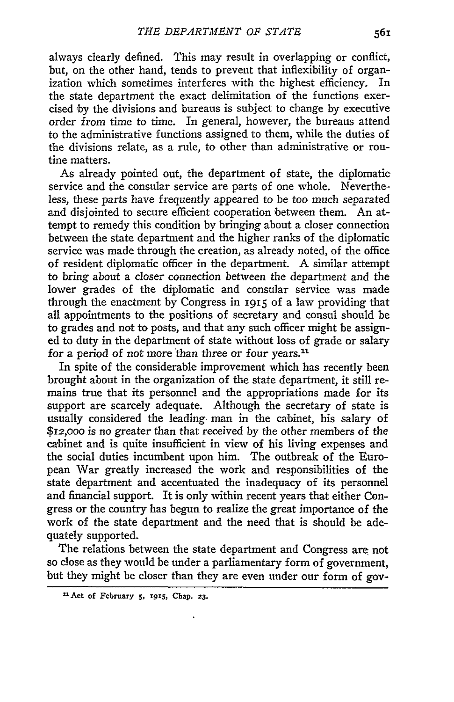always clearly defined. This may result in overlapping or conflict, but, on the other hand, tends to prevent that inflexibility of organization which sometimes interferes with the highest efficiency. In the state department the exact delimitation of the functions exercised •by the divisions and bureaus is subject to change by executive order from time to time. In general, however, the bureaus attend to the administrative functions assigned to them, while the duties of the divisions relate, as a rule, to other than administrative or routine matters.

As already pointed out, the department of state, the diplomatic service and the consular service are parts of one whole. Nevertheless, these parts have frequently appeared to be too much separated and disjointed to secure efficient cooperation between them. An attempt to remedy this condition by bringing about a closer connection between the state department and the higher ranks of the diplomatic service was made through the creation, as already noted, of the office of resident diplomatic officer in the department. A similar attempt to bring about a closer connection between the department and the lower grades of the diplomatic and consular service was made through the enactment by Congress in 1915 of a law providing that all appointments to the positions of secretary and consul should be to grades and not to posts, and that any such officer might be assigned to duty in the department of state without loss of grade or salary for a period of not more than three or four years.<sup>11</sup>

In spite of the considerable improvement which has recently been brought about in the organization of the state department, it still remains true that its personnel and the appropriations made for its support are scarcely adequate. Although the secretary of state is usually considered the leading man in the cabinet, his salary of \$12,000 is no greater than that received by the other members of the cabinet and is quite insufficient in view of his living expenses and the social duties incumbent upon him. The outbreak of the European \Var greatly increased the work and responsibilities of the state department and accentuated the inadequacy of its personnel and financial support. It is only within recent years that either Congress or the country has begun to realize the great importance of the work of the state department and the need that is should be adequately supported.

The relations between the state department and Congress are not so close as they would be under a parliamentary form of government, but they might be closer than they are even under our form of gov-

<sup>11</sup> Act of February 5, 1915, Chap. *23.*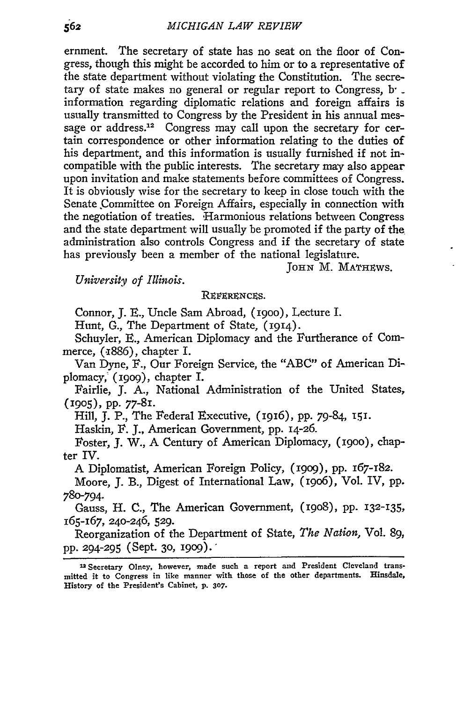ernment. The secretary of state has no seat on the floor of Congress, though this might be accorded to him or to a representative of the state department without violating the Constitution. The secretary of state makes no general or regular report to Congress, b· \_ information regarding diplomatic relations and foreign affairs is usually transmitted to Congress by the President in his annual message or address.<sup>12</sup> Congress may call upon the secretary for certain correspondence or other information relating to the duties of his department, and this information is usually furnished if not incompatible with the public interests. The secretary may also appear upon invitation and make statements before committees of Congress. It is obviously wise for the secretary to keep in close touch with the Senate Committee on Foreign Affairs, especially in connection with the negotiation of treaties. Harmonious relations between Congress and the state department will usually be promoted if the party of the. administration also controls Congress and if the secretary of state has previously been a member of the national legislature.

JOHN M. MATHEWS.

*University of Illinois.* 

REFERENCES.

Connor, J. E., Uncle Sam Abroad, ( 1900), Lecture I.

Hunt, G., The Department of State, (1914).

Schuyler, E., American Diplomacy and the Furtherance of Commerce, (1886), chapter I.

Van Dyne, F., Our Foreign Service, the "ABC" of American Diplomacy, (1909), chapter I.

Fairlie, J. A., National Administration of the United States, ( 1905), pp. 77-8r.

Hill, J.P., The Federal Executive, (1916), pp. 79-84, I5I.

Haskin, F. J., American Government, pp. 14-26.

Foster, J. W., A Century of American Diplomacy, (1900), chapter IV.

A Diplomatist, American Foreign Policy, (1909), pp. 167-182.

*Moore,* J. B., Digest of International Law, (r9o6), Vol. IV, pp. 78o-794.

Gauss, H. C., The American Government, (1908), pp. 132-135, 165-167, 240-246, 529.

Reorganization of the Department of State, *The Nation,* Vol. 89, pp. 294-295 (Sept. 30, 1909).

562

<sup>12</sup> Secretary Olney, however, made such a report and President Cleveland trans· mitted it to Congress in like manner with those of the other departments. Hinsdale, History of the President's Cabinet, p. 307.